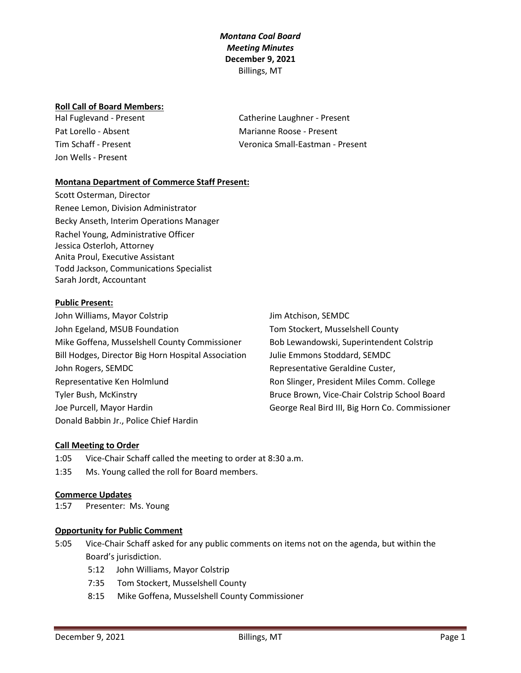### **Roll Call of Board Members:**

Jon Wells - Present

Hal Fuglevand - Present Catherine Laughner - Present Pat Lorello - Absent Marianne Roose - Present Tim Schaff - Present Veronica Small-Eastman - Present

### **Montana Department of Commerce Staff Present:**

Scott Osterman, Director Renee Lemon, Division Administrator Becky Anseth, Interim Operations Manager Rachel Young, Administrative Officer Jessica Osterloh, Attorney Anita Proul, Executive Assistant Todd Jackson, Communications Specialist Sarah Jordt, Accountant

#### **Public Present:**

John Williams, Mayor Colstrip Jum Atchison, SEMDC John Egeland, MSUB Foundation The Stockert, Musselshell County Mike Goffena, Musselshell County Commissioner Bob Lewandowski, Superintendent Colstrip Bill Hodges, Director Big Horn Hospital Association Julie Emmons Stoddard, SEMDC John Rogers, SEMDC **Representative Geraldine Custer**, Representative Ken Holmlund **Ron Slinger, President Miles Comm. College** Tyler Bush, McKinstry Bruce Brown, Vice-Chair Colstrip School Board Joe Purcell, Mayor Hardin **George Real Bird III, Big Horn Co. Commissioner** Donald Babbin Jr., Police Chief Hardin

### **Call Meeting to Order**

1:05 Vice-Chair Schaff called the meeting to order at 8:30 a.m.

1:35 Ms. Young called the roll for Board members.

### **Commerce Updates**

1:57 Presenter: Ms. Young

### **Opportunity for Public Comment**

- 5:05 Vice-Chair Schaff asked for any public comments on items not on the agenda, but within the Board's jurisdiction.
	- 5:12 John Williams, Mayor Colstrip
	- 7:35 Tom Stockert, Musselshell County
	- 8:15 Mike Goffena, Musselshell County Commissioner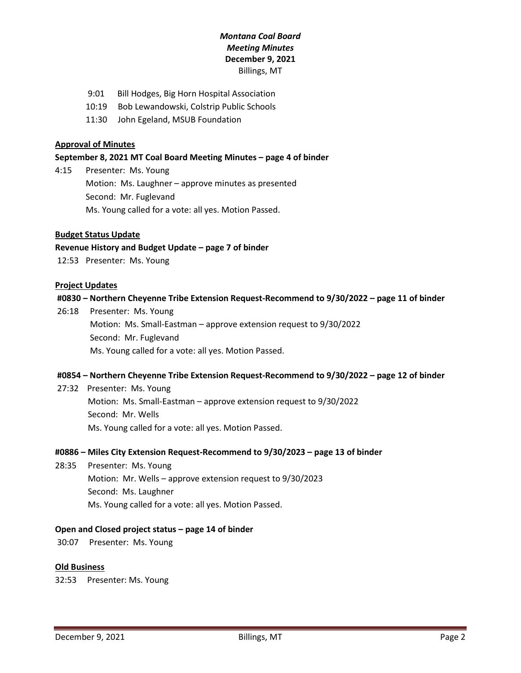- 9:01 Bill Hodges, Big Horn Hospital Association
- 10:19 Bob Lewandowski, Colstrip Public Schools
- 11:30 John Egeland, MSUB Foundation

### **Approval of Minutes**

#### **September 8, 2021 MT Coal Board Meeting Minutes – page 4 of binder**

4:15 Presenter: Ms. Young Motion: Ms. Laughner – approve minutes as presented Second: Mr. Fuglevand Ms. Young called for a vote: all yes. Motion Passed.

### **Budget Status Update**

### **Revenue History and Budget Update – page 7 of binder**

12:53 Presenter: Ms. Young

### **Project Updates**

#### **#0830 – Northern Cheyenne Tribe Extension Request-Recommend to 9/30/2022 – page 11 of binder**

26:18 Presenter: Ms. Young Motion: Ms. Small-Eastman – approve extension request to 9/30/2022 Second: Mr. Fuglevand Ms. Young called for a vote: all yes. Motion Passed.

### **#0854 – Northern Cheyenne Tribe Extension Request-Recommend to 9/30/2022 – page 12 of binder**

27:32 Presenter: Ms. Young Motion: Ms. Small-Eastman – approve extension request to 9/30/2022 Second: Mr. Wells Ms. Young called for a vote: all yes. Motion Passed.

#### **#0886 – Miles City Extension Request-Recommend to 9/30/2023 – page 13 of binder**

28:35 Presenter: Ms. Young Motion: Mr. Wells – approve extension request to 9/30/2023 Second: Ms. Laughner Ms. Young called for a vote: all yes. Motion Passed.

### **Open and Closed project status – page 14 of binder**

30:07 Presenter: Ms. Young

#### **Old Business**

32:53 Presenter: Ms. Young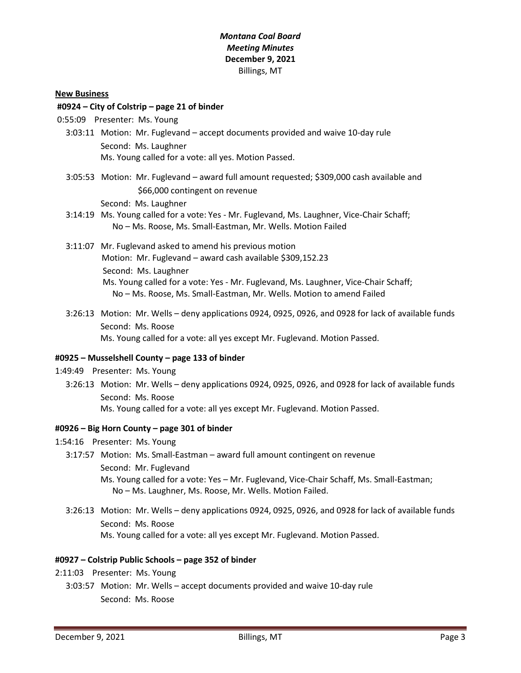### **New Business**

### **#0924 – City of Colstrip – page 21 of binder**

- 0:55:09 Presenter: Ms. Young
	- 3:03:11 Motion: Mr. Fuglevand accept documents provided and waive 10-day rule Second: Ms. Laughner Ms. Young called for a vote: all yes. Motion Passed.
	- 3:05:53 Motion: Mr. Fuglevand award full amount requested; \$309,000 cash available and \$66,000 contingent on revenue

Second: Ms. Laughner

- 3:14:19 Ms. Young called for a vote: Yes Mr. Fuglevand, Ms. Laughner, Vice-Chair Schaff; No – Ms. Roose, Ms. Small-Eastman, Mr. Wells. Motion Failed
- 3:11:07 Mr. Fuglevand asked to amend his previous motion Motion: Mr. Fuglevand – award cash available \$309,152.23 Second: Ms. Laughner Ms. Young called for a vote: Yes - Mr. Fuglevand, Ms. Laughner, Vice-Chair Schaff; No – Ms. Roose, Ms. Small-Eastman, Mr. Wells. Motion to amend Failed
- 3:26:13 Motion: Mr. Wells deny applications 0924, 0925, 0926, and 0928 for lack of available funds Second: Ms. Roose Ms. Young called for a vote: all yes except Mr. Fuglevand. Motion Passed.

### **#0925 – Musselshell County – page 133 of binder**

- 1:49:49 Presenter: Ms. Young
	- 3:26:13 Motion: Mr. Wells deny applications 0924, 0925, 0926, and 0928 for lack of available funds Second: Ms. Roose Ms. Young called for a vote: all yes except Mr. Fuglevand. Motion Passed.

### **#0926 – Big Horn County – page 301 of binder**

- 1:54:16 Presenter: Ms. Young
	- 3:17:57 Motion: Ms. Small-Eastman award full amount contingent on revenue Second: Mr. Fuglevand Ms. Young called for a vote: Yes – Mr. Fuglevand, Vice-Chair Schaff, Ms. Small-Eastman; No – Ms. Laughner, Ms. Roose, Mr. Wells. Motion Failed.
	- 3:26:13 Motion: Mr. Wells deny applications 0924, 0925, 0926, and 0928 for lack of available funds Second: Ms. Roose Ms. Young called for a vote: all yes except Mr. Fuglevand. Motion Passed.

### **#0927 – Colstrip Public Schools – page 352 of binder**

- 2:11:03 Presenter: Ms. Young
	- 3:03:57 Motion: Mr. Wells accept documents provided and waive 10-day rule Second: Ms. Roose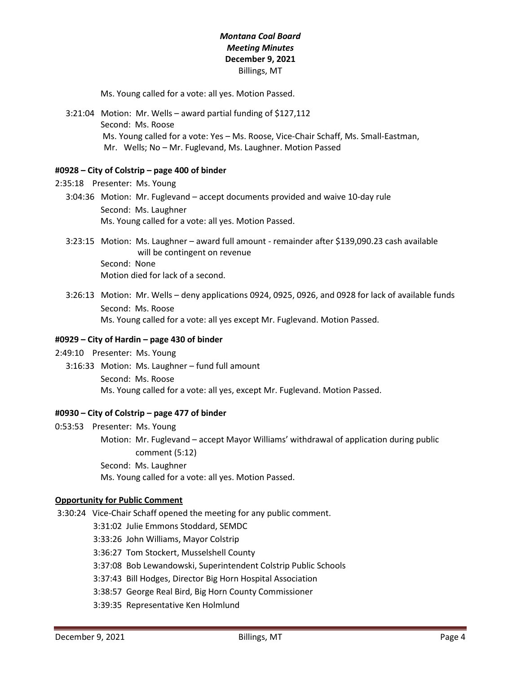Ms. Young called for a vote: all yes. Motion Passed.

 3:21:04 Motion: Mr. Wells – award partial funding of \$127,112 Second: Ms. Roose Ms. Young called for a vote: Yes – Ms. Roose, Vice-Chair Schaff, Ms. Small-Eastman, Mr. Wells; No – Mr. Fuglevand, Ms. Laughner. Motion Passed

### **#0928 – City of Colstrip – page 400 of binder**

```
2:35:18 Presenter: Ms. Young
```
- 3:04:36 Motion: Mr. Fuglevand accept documents provided and waive 10-day rule Second: Ms. Laughner Ms. Young called for a vote: all yes. Motion Passed.
- 3:23:15 Motion: Ms. Laughner award full amount remainder after \$139,090.23 cash available will be contingent on revenue Second: None Motion died for lack of a second.
- 3:26:13 Motion: Mr. Wells deny applications 0924, 0925, 0926, and 0928 for lack of available funds Second: Ms. Roose Ms. Young called for a vote: all yes except Mr. Fuglevand. Motion Passed.

### **#0929 – City of Hardin – page 430 of binder**

2:49:10 Presenter: Ms. Young

 3:16:33 Motion: Ms. Laughner – fund full amount Second: Ms. Roose Ms. Young called for a vote: all yes, except Mr. Fuglevand. Motion Passed.

### **#0930 – City of Colstrip – page 477 of binder**

0:53:53 Presenter: Ms. Young Motion: Mr. Fuglevand – accept Mayor Williams' withdrawal of application during public comment (5:12) Second: Ms. Laughner Ms. Young called for a vote: all yes. Motion Passed.

### **Opportunity for Public Comment**

3:30:24 Vice-Chair Schaff opened the meeting for any public comment.

- 3:31:02 Julie Emmons Stoddard, SEMDC
- 3:33:26 John Williams, Mayor Colstrip
- 3:36:27 Tom Stockert, Musselshell County
- 3:37:08 Bob Lewandowski, Superintendent Colstrip Public Schools
- 3:37:43 Bill Hodges, Director Big Horn Hospital Association
- 3:38:57 George Real Bird, Big Horn County Commissioner
- 3:39:35 Representative Ken Holmlund